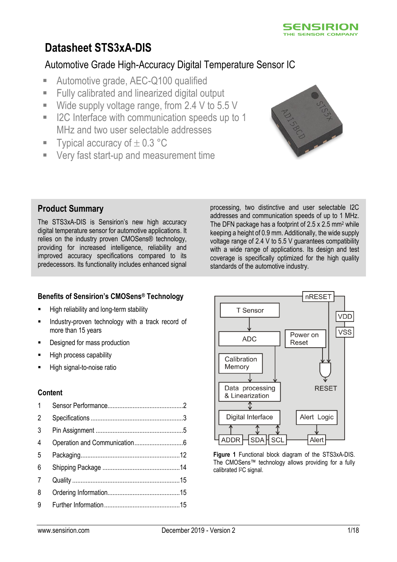

# Automotive Grade High-Accuracy Digital Temperature Sensor IC

- **Automotive grade, AEC-Q100 qualified**
- **Fully calibrated and linearized digital output**
- $\blacksquare$  Wide supply voltage range, from 2.4 V to 5.5 V
- **If I2C Interface with communication speeds up to 1** MHz and two user selectable addresses
- Typical accuracy of  $\pm$  0.3 °C
- **Very fast start-up and measurement time**



# **Product Summary**

The STS3xA-DIS is Sensirion's new high accuracy digital temperature sensor for automotive applications. It relies on the industry proven CMOSens® technology, providing for increased intelligence, reliability and improved accuracy specifications compared to its predecessors. Its functionality includes enhanced signal

processing, two distinctive and user selectable I2C addresses and communication speeds of up to 1 MHz. The DFN package has a footprint of  $2.5 \times 2.5$  mm<sup>2</sup> while keeping a height of 0.9 mm. Additionally, the wide supply voltage range of 2.4 V to 5.5 V guarantees compatibility with a wide range of applications. Its design and test coverage is specifically optimized for the high quality standards of the automotive industry.

# **Benefits of Sensirion's CMOSens® Technology**

- High reliability and long-term stability
- **Industry-proven technology with a track record of** more than 15 years
- Designed for mass production
- High process capability
- High signal-to-noise ratio

### **Content**

| 1              |  |
|----------------|--|
| $\overline{2}$ |  |
| 3              |  |
| 4              |  |
| 5              |  |
| 6              |  |
| 7              |  |
| 8              |  |
| 9              |  |



**Figure 1** Functional block diagram of the STS3xA-DIS. The CMOSens™ technology allows providing for a fully calibrated I2C signal.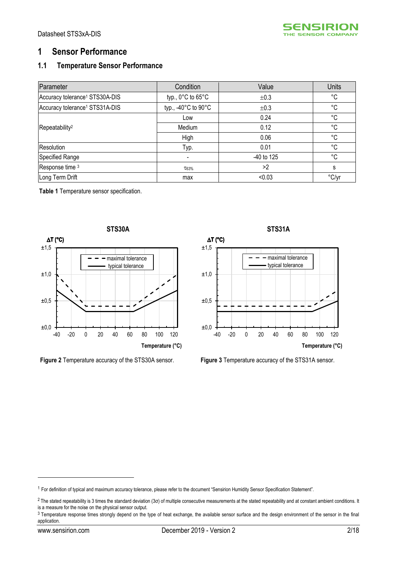

# <span id="page-1-0"></span>**1 Sensor Performance**

### **1.1 Temperature Sensor Performance**

<span id="page-1-1"></span>

| Parameter                                  | Condition                             | Value      | <b>Units</b> |
|--------------------------------------------|---------------------------------------|------------|--------------|
| Accuracy tolerance <sup>1</sup> STS30A-DIS | typ., $0^{\circ}$ C to $65^{\circ}$ C | ±0.3       | °C           |
| Accuracy tolerance <sup>1</sup> STS31A-DIS | typ., -40°C to 90°C                   | ±0.3       | °C           |
|                                            | Low                                   | 0.24       | °C           |
| Repeatability <sup>2</sup>                 | Medium                                | 0.12       | °C           |
|                                            | High                                  | 0.06       | °C           |
| Resolution                                 | Typ.                                  | 0.01       | °C           |
| Specified Range                            |                                       | -40 to 125 | °C           |
| Response time 3                            | T63%                                  | >2         | S            |
| Long Term Drift                            | max                                   | < 0.03     | °C/yr        |

**Table 1** Temperature sensor specification.





**Figure 2** Temperature accuracy of the STS30A sensor. **Figure 3** Temperature accuracy of the STS31A sensor.

-

<sup>1</sup> For definition of typical and maximum accuracy tolerance, please refer to the document "Sensirion Humidity Sensor Specification Statement".

<sup>&</sup>lt;sup>2</sup> The stated repeatability is 3 times the standard deviation (3σ) of multiple consecutive measurements at the stated repeatability and at constant ambient conditions. It is a measure for the noise on the physical sensor output.

<sup>&</sup>lt;sup>3</sup> Temperature response times strongly depend on the type of heat exchange, the available sensor surface and the design environment of the sensor in the final application.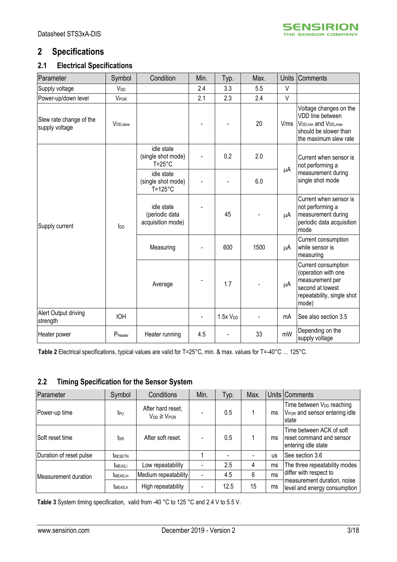

# <span id="page-2-0"></span>**2 Specifications**

# **2.1 Electrical Specifications**

| Parameter                                 | Symbol                                                                                                                                    | Condition                                             | Min.           | Typ.                 | Max. | <b>Units</b>                                        | Comments                                                                                                                                       |
|-------------------------------------------|-------------------------------------------------------------------------------------------------------------------------------------------|-------------------------------------------------------|----------------|----------------------|------|-----------------------------------------------------|------------------------------------------------------------------------------------------------------------------------------------------------|
| Supply voltage                            | V <sub>DD</sub>                                                                                                                           |                                                       | 2.4            | 3.3                  | 5.5  | V                                                   |                                                                                                                                                |
| Power-up/down level                       | VPOR                                                                                                                                      |                                                       | 2.1            | 2.3                  | 2.4  | $\vee$                                              |                                                                                                                                                |
| Slew rate change of the<br>supply voltage | V <sub>DD,slew</sub>                                                                                                                      |                                                       |                |                      | 20   | V/ms                                                | Voltage changes on the<br>VDD line between<br>V <sub>DD, min</sub> and V <sub>DD</sub> , max<br>should be slower than<br>the maximum slew rate |
|                                           |                                                                                                                                           | idle state<br>(single shot mode)<br>$T = 25^{\circ}C$ | $\blacksquare$ | 0.2                  | 2.0  |                                                     | Current when sensor is<br>not performing a                                                                                                     |
|                                           | idle state<br>(single shot mode)<br>$T = 125$ °C<br>idle state<br>(periodic data<br>acquisition mode)<br>$I_{DD}$<br>Measuring<br>Average |                                                       |                |                      | 6.0  | μA                                                  | measurement during<br>single shot mode                                                                                                         |
| Supply current                            |                                                                                                                                           |                                                       |                | 45                   |      | μA                                                  | Current when sensor is<br>not performing a<br>measurement during<br>periodic data acquisition<br>mode                                          |
|                                           |                                                                                                                                           |                                                       | 600            | 1500                 | μA   | Current consumption<br>while sensor is<br>measuring |                                                                                                                                                |
|                                           |                                                                                                                                           |                                                       |                | 1.7                  |      | $\mu$ A                                             | Current consumption<br>(operation with one<br>measurement per<br>second at lowest<br>repeatability, single shot<br>mode)                       |
| Alert Output driving<br>strength          | <b>IOH</b>                                                                                                                                |                                                       |                | 1.5x V <sub>DD</sub> |      | mA                                                  | See also section 3.5                                                                                                                           |
| Heater power                              | $P_{\text{Heater}}$                                                                                                                       | Heater running                                        | 4.5            |                      | 33   | mW                                                  | Depending on the<br>supply voltage                                                                                                             |

<span id="page-2-1"></span>**Table 2** Electrical specifications, typical values are valid for T=25°C, min. & max. values for T=-40°C … 125°C.

### <span id="page-2-2"></span>**2.2 Timing Specification for the Sensor System**

| Parameter               | Symbol              | Conditions                                 | Min.           | Typ. | Max. |           | Units Comments                                                                              |
|-------------------------|---------------------|--------------------------------------------|----------------|------|------|-----------|---------------------------------------------------------------------------------------------|
| Power-up time           | t <sub>PU</sub>     | After hard reset,<br>$V_{DD} \geq V_{POR}$ |                | 0.5  |      | ms        | Time between V <sub>DD</sub> reaching<br>V <sub>POR</sub> and sensor entering idle<br>state |
| Soft reset time         | tsr                 | After soft reset.                          |                | 0.5  |      | ms        | Time between ACK of soft<br>reset command and sensor<br>entering idle state                 |
| Duration of reset pulse | tresetn             |                                            |                |      |      | <b>US</b> | See section 3.6                                                                             |
|                         | <b>TMEAS.I</b>      | Low repeatability                          |                | 2.5  | 4    | ms        | The three repeatability modes                                                               |
| Measurement duration    | t <sub>MEAS,m</sub> | Medium repeatability                       | $\blacksquare$ | 4.5  | 6    | ms        | differ with respect to                                                                      |
|                         | t <sub>MEAS,h</sub> | High repeatability                         | $\blacksquare$ | 12.5 | 15   | ms        | measurement duration, noise<br>level and energy consumption                                 |

<span id="page-2-3"></span>Table 3 System timing specification, valid from -40 °C to 125 °C and 2.4 V to 5.5 V.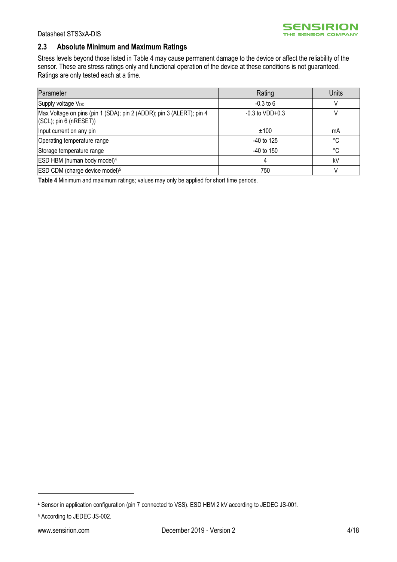

#### **2.3 Absolute Minimum and Maximum Ratings**

Stress levels beyond those listed in [Table 4](#page-3-0) may cause permanent damage to the device or affect the reliability of the sensor. These are stress ratings only and functional operation of the device at these conditions is not guaranteed. Ratings are only tested each at a time.

| Parameter                                                                                      | Rating               | Units |
|------------------------------------------------------------------------------------------------|----------------------|-------|
| Supply voltage V <sub>DD</sub>                                                                 | $-0.3$ to 6          |       |
| Max Voltage on pins (pin 1 (SDA); pin 2 (ADDR); pin 3 (ALERT); pin 4<br>(SCL); pin 6 (nRESET)) | $-0.3$ to VDD $+0.3$ |       |
| Input current on any pin                                                                       | ±100                 | mA    |
| Operating temperature range                                                                    | $-40$ to 125         | °C    |
| Storage temperature range                                                                      | $-40$ to 150         | °C    |
| ESD HBM (human body model) <sup>4</sup>                                                        | 4                    | kV    |
| ESD CDM (charge device model) <sup>5</sup>                                                     | 750                  |       |

<span id="page-3-0"></span>**Table 4** Minimum and maximum ratings; values may only be applied for short time periods.

<u>.</u>

<sup>4</sup> Sensor in application configuration (pin 7 connected to VSS). ESD HBM 2 kV according to JEDEC JS-001.

<sup>5</sup> According to JEDEC JS-002.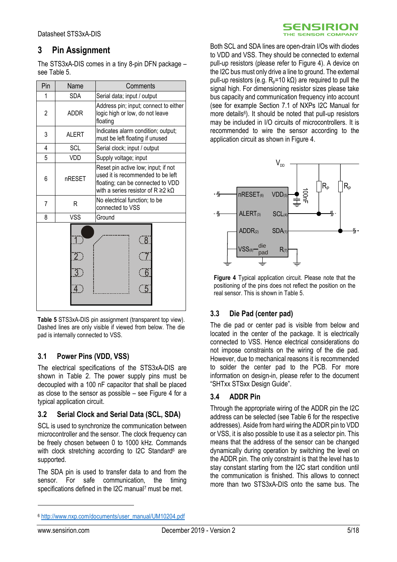# <span id="page-4-0"></span>**3 Pin Assignment**

The STS3xA-DIS comes in a tiny 8-pin DFN package – see [Table 5.](#page-4-1)

| Pin                                                                                                | Name        | Comments                                                                                                                                                         |  |  |
|----------------------------------------------------------------------------------------------------|-------------|------------------------------------------------------------------------------------------------------------------------------------------------------------------|--|--|
| 1                                                                                                  | SDA         | Serial data; input / output                                                                                                                                      |  |  |
| 2                                                                                                  | <b>ADDR</b> | Address pin; input; connect to either<br>logic high or low, do not leave<br>floating                                                                             |  |  |
| 3                                                                                                  | ALERT       | Indicates alarm condition; output;<br>must be left floating if unused                                                                                            |  |  |
| 4                                                                                                  | <b>SCL</b>  | Serial clock; input / output                                                                                                                                     |  |  |
| 5                                                                                                  | VDD         | Supply voltage; input                                                                                                                                            |  |  |
| 6                                                                                                  | nRESET      | Reset pin active low; input; if not<br>used it is recommended to be left<br>floating; can be connected to VDD<br>with a series resistor of R $\geq$ 2 k $\Omega$ |  |  |
| 7                                                                                                  | R           | No electrical function; to be<br>connected to VSS                                                                                                                |  |  |
| 8                                                                                                  | <b>VSS</b>  | Ground                                                                                                                                                           |  |  |
| <u>် 8</u><br>$\overline{2}$<br>$\overline{3}$ )<br>$\overline{6}$<br>$\overline{4}$<br>$\sqrt{5}$ |             |                                                                                                                                                                  |  |  |

<span id="page-4-1"></span>**Table 5** STS3xA-DIS pin assignment (transparent top view). Dashed lines are only visible if viewed from below. The die pad is internally connected to VSS.

### **3.1 Power Pins (VDD, VSS)**

The electrical specifications of the STS3xA-DIS are shown in [Table 2.](#page-2-1) The power supply pins must be decoupled with a 100 nF capacitor that shall be placed as close to the sensor as possible – see [Figure 4](#page-4-2) for a typical application circuit.

### **3.2 Serial Clock and Serial Data (SCL, SDA)**

SCL is used to synchronize the communication between microcontroller and the sensor. The clock frequency can be freely chosen between 0 to 1000 kHz. Commands with clock stretching according to I2C Standard<sup>6</sup> are supported.

The SDA pin is used to transfer data to and from the sensor. For safe communication, the timing specifications defined in the I2C manu[al](#page-5-3)<sup>7</sup> must be met.

Both SCL and SDA lines are open-drain I/Os with diodes to VDD and VSS. They should be connected to external pull-up resistors (please refer to [Figure 4\)](#page-4-2). A device on the I2C bus must only drive a line to ground. The external pull-up resistors (e.g.  $R_p = 10 \text{ k}\Omega$ ) are required to pull the signal high. For dimensioning resistor sizes please take bus capacity and communication frequency into account (see for example Section 7.1 of NXPs I2C Manual for more detail[s](#page-4-3)<sup>6</sup>). It should be noted that pull-up resistors may be included in I/O circuits of microcontrollers. It is recommended to wire the sensor according to the application circuit as shown in [Figure 4.](#page-4-2)

**SENSIRION** THE SENSOR COMPANY



<span id="page-4-2"></span>**Figure 4** Typical application circuit. Please note that the positioning of the pins does not reflect the position on the real sensor. This is shown i[n Table 5.](#page-4-1)

# **3.3 Die Pad (center pad)**

The die pad or center pad is visible from below and located in the center of the package. It is electrically connected to VSS. Hence electrical considerations do not impose constraints on the wiring of the die pad. However, due to mechanical reasons it is recommended to solder the center pad to the PCB. For more information on design-in, please refer to the document "SHTxx STSxx Design Guide".

# **3.4 ADDR Pin**

<span id="page-4-3"></span>Through the appropriate wiring of the ADDR pin the I2C address can be selected (see [Table 6](#page-5-4) for the respective addresses). Aside from hard wiring the ADDR pin to VDD or VSS, it is also possible to use it as a selector pin. This means that the address of the sensor can be changed dynamically during operation by switching the level on the ADDR pin. The only constraint is that the level has to stay constant starting from the I2C start condition until the communication is finished. This allows to connect more than two STS3xA-DIS onto the same bus. The

<u>.</u>

<sup>6</sup> [http://www.nxp.com/documents/user\\_manual/UM10204.pdf](http://www.nxp.com/documents/user_manual/UM10204.pdf)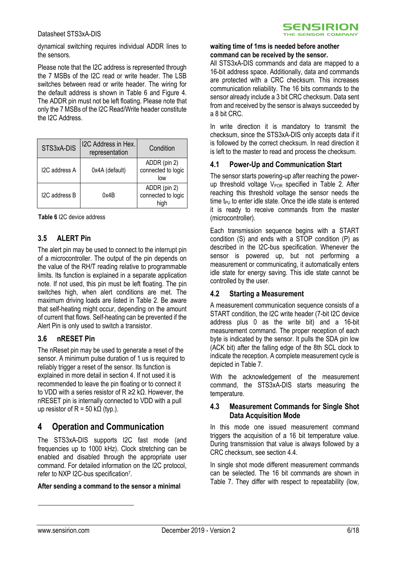dynamical switching requires individual ADDR lines to the sensors.

Please note that the I2C address is represented through the 7 MSBs of the I2C read or write header. The LSB switches between read or write header. The wiring for the default address is shown in [Table 6](#page-5-4) and [Figure 4.](#page-4-2) The ADDR pin must not be left floating. Please note that only the 7 MSBs of the I2C Read/Write header constitute the I2C Address.

| STS3xA-DIS    | I2C Address in Hex.<br>representation | Condition                                  |
|---------------|---------------------------------------|--------------------------------------------|
| I2C address A | 0x4A (default)                        | ADDR (pin 2)<br>connected to logic<br>low  |
| I2C address B | 0x4B                                  | ADDR (pin 2)<br>connected to logic<br>hiah |

<span id="page-5-4"></span>**Table 6** I2C device address

# <span id="page-5-1"></span>**3.5 ALERT Pin**

The alert pin may be used to connect to the interrupt pin of a microcontroller. The output of the pin depends on the value of the RH/T reading relative to programmable limits. Its function is explained in a separate application note. If not used, this pin must be left floating. The pin switches high, when alert conditions are met. The maximum driving loads are listed in [Table 2.](#page-2-1) Be aware that self-heating might occur, depending on the amount of current that flows. Self-heating can be prevented if the Alert Pin is only used to switch a transistor.

### <span id="page-5-2"></span>**3.6 nRESET Pin**

The nReset pin may be used to generate a reset of the sensor. A minimum pulse duration of 1 us is required to reliably trigger a reset of the sensor. Its function is explained in more detail in section [4.](#page-5-0) If not used it is recommended to leave the pin floating or to connect it to VDD with a series resistor of R ≥2 kΩ. However, the nRESET pin is internally connected to VDD with a pull up resistor of R = 50 k $\Omega$  (typ.).

# <span id="page-5-0"></span>**4 Operation and Communication**

The STS3xA-DIS supports I2C fast mode (and frequencies up to 1000 kHz). Clock stretching can be enabled and disabled through the appropriate user command. For detailed information on the I2C protocol, refer to NXP I2C-bus specification<sup>7</sup>.

#### **After sending a command to the sensor a minimal**

#### **waiting time of 1ms is needed before another command can be received by the sensor.**

All STS3xA-DIS commands and data are mapped to a 16-bit address space. Additionally, data and commands are protected with a CRC checksum. This increases communication reliability. The 16 bits commands to the sensor already include a 3 bit CRC checksum. Data sent from and received by the sensor is always succeeded by a 8 bit CRC.

In write direction it is mandatory to transmit the checksum, since the STS3xA-DIS only accepts data if it is followed by the correct checksum. In read direction it is left to the master to read and process the checksum.

#### **4.1 Power-Up and Communication Start**

The sensor starts powering-up after reaching the powerup threshold voltage  $V_{POR}$  specified in [Table 2.](#page-2-1) After reaching this threshold voltage the sensor needs the time  $t_{\text{PU}}$  to enter idle state. Once the idle state is entered it is ready to receive commands from the master (microcontroller).

Each transmission sequence begins with a START condition (S) and ends with a STOP condition (P) as described in the I2C-bus specification. Whenever the sensor is powered up, but not performing a measurement or communicating, it automatically enters idle state for energy saving. This idle state cannot be controlled by the user.

### **4.2 Starting a Measurement**

A measurement communication sequence consists of a START condition, the I2C write header (7-bit I2C device address plus 0 as the write bit) and a 16-bit measurement command. The proper reception of each byte is indicated by the sensor. It pulls the SDA pin low (ACK bit) after the falling edge of the 8th SCL clock to indicate the reception. A complete measurement cycle is depicted i[n Table 7.](#page-6-0)

With the acknowledgement of the measurement command, the STS3xA-DIS starts measuring the temperature.

#### **4.3 Measurement Commands for Single Shot Data Acquisition Mode**

In this mode one issued measurement command triggers the acquisition of a 16 bit temperature value. During transmission that value is always followed by a CRC checksum, see section [4.4.](#page-6-1)

<span id="page-5-3"></span>In single shot mode different measurement commands can be selected. The 16 bit commands are shown in [Table 7.](#page-6-0) They differ with respect to repeatability (low,

<u>.</u>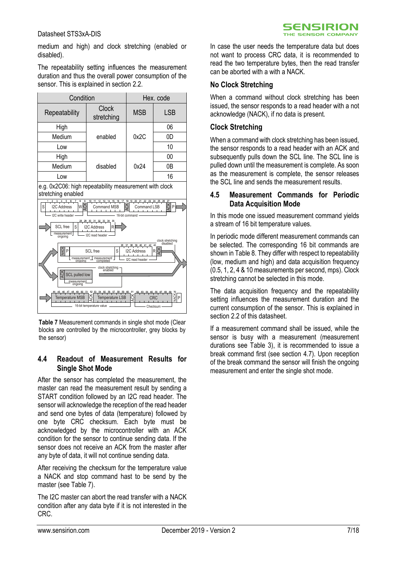medium and high) and clock stretching (enabled or disabled).

The repeatability setting influences the measurement duration and thus the overall power consumption of the sensor. This is explained in section [2.2.](#page-2-2)



<span id="page-6-0"></span>**Table 7** Measurement commands in single shot mode (Clear blocks are controlled by the microcontroller, grey blocks by the sensor)

#### <span id="page-6-1"></span>**4.4 Readout of Measurement Results for Single Shot Mode**

After the sensor has completed the measurement, the master can read the measurement result by sending a START condition followed by an I2C read header. The sensor will acknowledge the reception of the read header and send one bytes of data (temperature) followed by one byte CRC checksum. Each byte must be acknowledged by the microcontroller with an ACK condition for the sensor to continue sending data. If the sensor does not receive an ACK from the master after any byte of data, it will not continue sending data.

After receiving the checksum for the temperature value a NACK and stop command hast to be send by the master (see [Table 7\)](#page-6-0).

The I2C master can abort the read transfer with a NACK condition after any data byte if it is not interested in the CRC.

In case the user needs the temperature data but does not want to process CRC data, it is recommended to read the two temperature bytes, then the read transfer can be aborted with a with a NACK.

**SENSIRION** THE SENSOR COMPANY

#### **No Clock Stretching**

When a command without clock stretching has been issued, the sensor responds to a read header with a not acknowledge (NACK), if no data is present.

#### **Clock Stretching**

When a command with clock stretching has been issued, the sensor responds to a read header with an ACK and subsequently pulls down the SCL line. The SCL line is pulled down until the measurement is complete. As soon as the measurement is complete, the sensor releases the SCL line and sends the measurement results.

#### **4.5 Measurement Commands for Periodic Data Acquisition Mode**

In this mode one issued measurement command yields a stream of 16 bit temperature values.

In periodic mode different measurement commands can be selected. The corresponding 16 bit commands are shown i[n Table 8.](#page-7-0) They differ with respect to repeatability (low, medium and high) and data acquisition frequency (0.5, 1, 2, 4 & 10 measurements per second, mps). Clock stretching cannot be selected in this mode.

The data acquisition frequency and the repeatability setting influences the measurement duration and the current consumption of the sensor. This is explained in section [2.2](#page-2-2) of this datasheet.

If a measurement command shall be issued, while the sensor is busy with a measurement (measurement durations see [Table 3\)](#page-2-3), it is recommended to issue a break command first (see section [4.7\)](#page-7-1). Upon reception of the break command the sensor will finish the ongoing measurement and enter the single shot mode.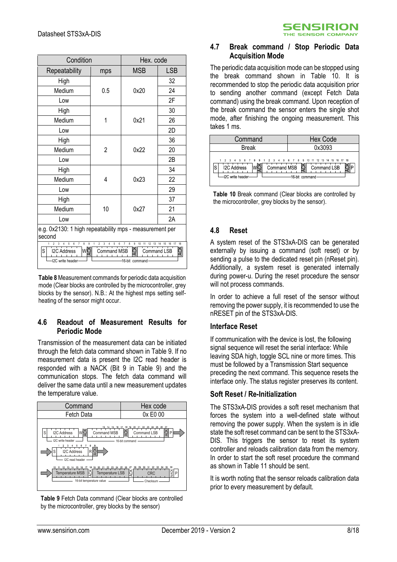| Condition                                                                                                                                                                                                                                                                                                               |                | Hex. code  |            |  |
|-------------------------------------------------------------------------------------------------------------------------------------------------------------------------------------------------------------------------------------------------------------------------------------------------------------------------|----------------|------------|------------|--|
| Repeatability                                                                                                                                                                                                                                                                                                           | mps            | <b>MSB</b> | <b>LSB</b> |  |
| High                                                                                                                                                                                                                                                                                                                    |                |            | 32         |  |
| Medium                                                                                                                                                                                                                                                                                                                  | 0.5            | 0x20       | 24         |  |
| Low                                                                                                                                                                                                                                                                                                                     |                |            | 2F         |  |
| High                                                                                                                                                                                                                                                                                                                    |                |            | 30         |  |
| Medium                                                                                                                                                                                                                                                                                                                  | 1              | 0x21       | 26         |  |
| Low                                                                                                                                                                                                                                                                                                                     |                |            | 2D         |  |
| High                                                                                                                                                                                                                                                                                                                    |                |            | 36         |  |
| Medium                                                                                                                                                                                                                                                                                                                  | $\overline{2}$ | 0x22       | 20         |  |
| Low                                                                                                                                                                                                                                                                                                                     |                |            | 2B         |  |
| High                                                                                                                                                                                                                                                                                                                    |                |            | 34         |  |
| Medium                                                                                                                                                                                                                                                                                                                  | 4              | 0x23       | 22         |  |
| Low                                                                                                                                                                                                                                                                                                                     |                |            | 29         |  |
| High                                                                                                                                                                                                                                                                                                                    |                |            | 37         |  |
| Medium                                                                                                                                                                                                                                                                                                                  | 10             | 0x27       | 21         |  |
| Low                                                                                                                                                                                                                                                                                                                     |                |            | 2A         |  |
| e.g. 0x2130: 1 high repeatability mps - measurement per<br>second                                                                                                                                                                                                                                                       |                |            |            |  |
| 5<br>6<br>8<br>9<br>$\overline{c}$<br>3<br>4<br>5<br>6<br>8<br>3<br>4<br>$\overline{7}$<br>1<br>$\overline{7}$<br>9<br>10<br>11<br>12<br>13<br>18<br>$\mathfrak{p}$<br>14<br>15<br>16<br>17<br>wğl<br>S<br><b>Command MSB</b><br>ट्रे<br><b>I2C Address</b><br><b>Command LSB</b><br>I2C write header<br>16-bit command |                |            |            |  |

<span id="page-7-0"></span>**Table 8**Measurement commands for periodic data acquisition mode (Clear blocks are controlled by the microcontroller, grey blocks by the sensor). N.B.: At the highest mps setting selfheating of the sensor might occur.

### **4.6 Readout of Measurement Results for Periodic Mode**

Transmission of the measurement data can be initiated through the fetch data command shown in [Table 9.](#page-7-2) If no measurement data is present the I2C read header is responded with a NACK (Bit 9 in [Table 9\)](#page-7-2) and the communication stops. The fetch data command will deliver the same data until a new measurement updates the temperature value.



<span id="page-7-2"></span>**Table 9** Fetch Data command (Clear blocks are controlled by the microcontroller, grey blocks by the sensor)

#### <span id="page-7-1"></span>**4.7 Break command / Stop Periodic Data Acquisition Mode**

SENSIRION THE SENSOR COMPANY

The periodic data acquisition mode can be stopped using the break command shown in [Table 10.](#page-7-3) It is recommended to stop the periodic data acquisition prior to sending another command (except Fetch Data command) using the break command. Upon reception of the break command the sensor enters the single shot mode, after finishing the ongoing measurement. This takes 1 ms.

| Command                                                                                                         | <b>Hex Code</b>                               |
|-----------------------------------------------------------------------------------------------------------------|-----------------------------------------------|
| <b>Break</b>                                                                                                    | 0x3093                                        |
| 1 2 3 4 5 6 7 8 9 1 2 3 4 5 6 7 8 9 10 11 12 13 14 15 16 17 18<br>c<br><b>I2C Address</b><br>-12C write header- | Command MSB S Command LSB<br>-16-bit command- |

<span id="page-7-3"></span>**Table 10** Break command (Clear blocks are controlled by the microcontroller, grey blocks by the sensor).

### **4.8 Reset**

A system reset of the STS3xA-DIS can be generated externally by issuing a command (soft reset) or by sending a pulse to the dedicated reset pin (nReset pin). Additionally, a system reset is generated internally during power-u. During the reset procedure the sensor will not process commands.

In order to achieve a full reset of the sensor without removing the power supply, it is recommended to use the nRESET pin of the STS3xA-DIS.

### **Interface Reset**

If communication with the device is lost, the following signal sequence will reset the serial interface: While leaving SDA high, toggle SCL nine or more times. This must be followed by a Transmission Start sequence preceding the next command. This sequence resets the interface only. The status register preserves its content.

### **Soft Reset / Re-Initialization**

The STS3xA-DIS provides a soft reset mechanism that forces the system into a well-defined state without removing the power supply. When the system is in idle state the soft reset command can be sent to the STS3xA-DIS. This triggers the sensor to reset its system controller and reloads calibration data from the memory. In order to start the soft reset procedure the command as shown i[n Table 11](#page-8-0) should be sent.

It is worth noting that the sensor reloads calibration data prior to every measurement by default.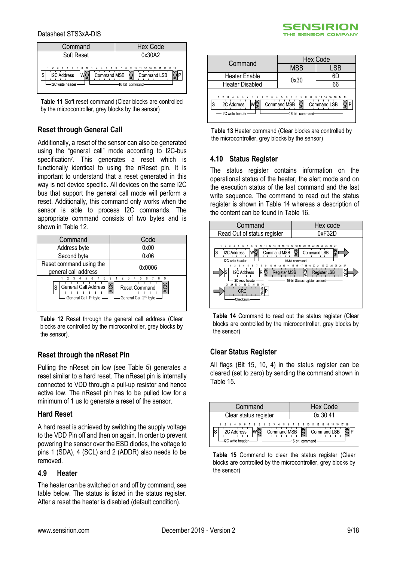

| Command                                                                                                | Hex Code                                                      |
|--------------------------------------------------------------------------------------------------------|---------------------------------------------------------------|
| Soft Reset                                                                                             | 0x30A2                                                        |
| 1 2 3 4 5 6 7 8 9 1 2 3 4 5 6 7 8 9 10 11 12 13 14 15 16 17<br><b>I2C Address</b><br>-I2C write header | 18<br>Command MSB $\ddot{\Xi}$ Command LSB<br>-16-bit command |

<span id="page-8-0"></span>**Table 11** Soft reset command (Clear blocks are controlled by the microcontroller, grey blocks by the sensor)

#### **Reset through General Call**

Additionally, a reset of the sensor can also be generated using the "general call" mode according to I2C-bus specification<sup>7</sup> [.](#page-5-3) This generates a reset which is functionally identical to using the nReset pin. It is important to understand that a reset generated in this way is not device specific. All devices on the same I2C bus that support the general call mode will perform a reset. Additionally, this command only works when the sensor is able to process I2C commands. The appropriate command consists of two bytes and is shown in [Table 12.](#page-8-1)

| Command                                                                | Code                                                                         |  |
|------------------------------------------------------------------------|------------------------------------------------------------------------------|--|
| Address byte                                                           | 0x00                                                                         |  |
| Second byte                                                            | 0x06                                                                         |  |
| Reset command using the<br>general call address                        | 0x0006                                                                       |  |
| R<br>General Call Address  5<br>S<br>General Call 1 <sup>st</sup> byte | q<br>9<br>АCК<br><b>Reset Command</b><br>General Call 2 <sup>nd</sup> byte - |  |

<span id="page-8-1"></span>**Table 12** Reset through the general call address (Clear blocks are controlled by the microcontroller, grey blocks by the sensor).

#### **Reset through the nReset Pin**

Pulling the nReset pin low (see [Table 5\)](#page-4-1) generates a reset similar to a hard reset. The nReset pin is internally connected to VDD through a pull-up resistor and hence active low. The nReset pin has to be pulled low for a minimum of 1 us to generate a reset of the sensor.

#### **Hard Reset**

A hard reset is achieved by switching the supply voltage to the VDD Pin off and then on again. In order to prevent powering the sensor over the ESD diodes, the voltage to pins 1 (SDA), 4 (SCL) and 2 (ADDR) also needs to be removed.

#### **4.9 Heater**

The heater can be switched on and off by command, see table below. The status is listed in the status register. After a reset the heater is disabled (default condition).

| Command                                                                                | <b>Hex Code</b>                     |                                        |
|----------------------------------------------------------------------------------------|-------------------------------------|----------------------------------------|
|                                                                                        | <b>MSB</b>                          | I SB                                   |
| <b>Heater Enable</b>                                                                   | 0x30                                | 6D                                     |
| <b>Heater Disabled</b>                                                                 |                                     | 66                                     |
| 1 2 3 4 5 6 7 8 9 1 2 3 4 5 6 7 8 9 10<br><b>I2C Address</b><br>S<br>-I2C write header | Command MSB<br>Ō<br>-16-bit command | 11 12 13 14 15 16 17 18<br>Command LSB |

| Table 13 Heater command (Clear blocks are controlled by |
|---------------------------------------------------------|
| the microcontroller, grey blocks by the sensor)         |

#### **4.10 Status Register**

The status register contains information on the operational status of the heater, the alert mode and on the execution status of the last command and the last write sequence. The command to read out the status register is shown in [Table 14](#page-8-2) whereas a description of the content can be found in [Table 16.](#page-9-0)



<span id="page-8-2"></span>**Table 14** Command to read out the status register (Clear blocks are controlled by the microcontroller, grey blocks by the sensor)

#### **Clear Status Register**

All flags (Bit 15, 10, 4) in the status register can be cleared (set to zero) by sending the command shown in [Table 15.](#page-8-3)

| Command                                                                                                    | Hex Code                                                |
|------------------------------------------------------------------------------------------------------------|---------------------------------------------------------|
| Clear status register                                                                                      | 0x3041                                                  |
| 1 2 3 4 5 6 7 8 9 1 2 3 4 5 6 7 8 9 10 11 12 13 14 15 16 17 18<br><b>I2C Address</b><br>-I2C write header- | Command MSB $\ddot{\Xi}$ Command LSB<br>-16 bit command |

<span id="page-8-3"></span>Table 15 Command to clear the status register (Clear blocks are controlled by the microcontroller, grey blocks by the sensor)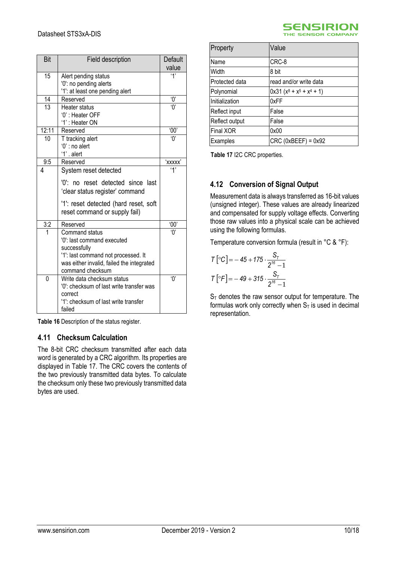| Bit             | <b>Field description</b>                  | Default        |
|-----------------|-------------------------------------------|----------------|
|                 |                                           | value<br>4'    |
| 15              | Alert pending status                      |                |
|                 | '0': no pending alerts                    |                |
|                 | '1': at least one pending alert           |                |
| 14              | Reserved                                  | Ό,             |
| $\overline{13}$ | Heater status                             | $\overline{0}$ |
|                 | '0' : Heater OFF                          |                |
|                 | '1': Heater ON                            |                |
| 12:11           | Reserved                                  | 00'            |
| 10              | T tracking alert                          | $\overline{0}$ |
|                 | '0' : no alert                            |                |
|                 | '1' alert                                 |                |
| 9:5             | Reserved                                  | 'xxxxx'        |
| 4               | System reset detected                     | '1'            |
|                 | '0': no reset detected since last         |                |
|                 | 'clear status register' command           |                |
|                 | '1': reset detected (hard reset, soft     |                |
|                 | reset command or supply fail)             |                |
| 3:2             | Reserved                                  | '00'           |
|                 | Command status                            | 'በ'            |
|                 | '0': last command executed                |                |
|                 | successfully                              |                |
|                 | '1': last command not processed. It       |                |
|                 | was either invalid, failed the integrated |                |
|                 | command checksum                          |                |
| 0               | Write data checksum status                | 'በ'            |
|                 | '0': checksum of last write transfer was  |                |
|                 | correct                                   |                |
|                 | '1': checksum of last write transfer      |                |
|                 | failed                                    |                |

<span id="page-9-0"></span>**Table 16** Description of the status register.

### **4.11 Checksum Calculation**

The 8-bit CRC checksum transmitted after each data word is generated by a CRC algorithm. Its properties are displayed in [Table 17.](#page-9-1) The CRC covers the contents of the two previously transmitted data bytes. To calculate the checksum only these two previously transmitted data bytes are used.

| Property       | Value                     |
|----------------|---------------------------|
| Name           | CRC-8                     |
| Width          | 8 bit                     |
| Protected data | read and/or write data    |
| Polynomial     | $0x31 (x8 + x5 + x4 + 1)$ |
| Initialization | 0xFF                      |
| Reflect input  | False                     |
| Reflect output | False                     |
| Final XOR      | 0x00                      |
| Examples       | $CRC$ (0xBEEF) = 0x92     |

**SENSIRION** THE SENSOR COMPANY

<span id="page-9-1"></span>**Table 17** I2C CRC properties.

### **4.12 Conversion of Signal Output**

Measurement data is always transferred as 16-bit values (unsigned integer). These values are already linearized and compensated for supply voltage effects. Converting those raw values into a physical scale can be achieved using the following formulas.

Temperature conversion formula (result in °C & °F):

$$
T\left[{}^{0}C\right] = -45 + 175 \cdot \frac{S_{7}}{2^{16} - 1}
$$

$$
T\left[{}^{0}F\right] = -49 + 315 \cdot \frac{S_{7}}{2^{16} - 1}
$$

 $S_T$  denotes the raw sensor output for temperature. The formulas work only correctly when  $S_T$  is used in decimal representation.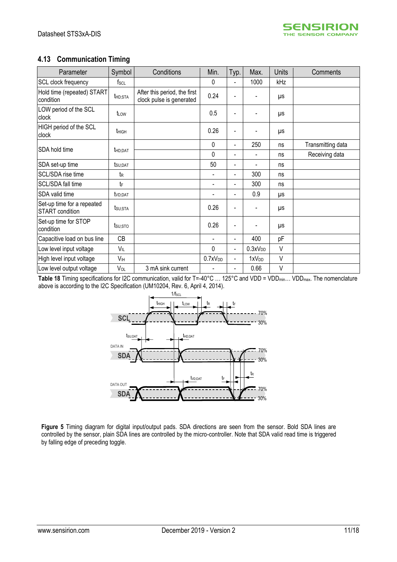

#### **4.13 Communication Timing**

| Parameter                                     | Symbol              | Conditions                                               | Min.                | Typ.                     | Max.                | <b>Units</b> | Comments          |
|-----------------------------------------------|---------------------|----------------------------------------------------------|---------------------|--------------------------|---------------------|--------------|-------------------|
| SCL clock frequency                           | $f_{\rm SCL}$       |                                                          | $\mathbf 0$         | $\blacksquare$           | 1000                | kHz          |                   |
| Hold time (repeated) START<br>condition       | thd;sta             | After this period, the first<br>clock pulse is generated | 0.24                |                          |                     | μs           |                   |
| LOW period of the SCL<br>clock                | t <sub>LOW</sub>    |                                                          | 0.5                 | $\overline{\phantom{0}}$ |                     | μs           |                   |
| HIGH period of the SCL<br>clock               | t <sub>HIGH</sub>   |                                                          | 0.26                | $\overline{\phantom{0}}$ |                     | μs           |                   |
|                                               |                     |                                                          | 0                   | $\blacksquare$           | 250                 | ns           | Transmitting data |
| SDA hold time<br>t <sub>HD;DAT</sub>          |                     |                                                          | 0                   | $\blacksquare$           |                     | ns           | Receiving data    |
| SDA set-up time                               | $t_{\text{SU;DAT}}$ |                                                          | 50                  | $\blacksquare$           |                     | ns           |                   |
| SCL/SDA rise time                             | tr                  |                                                          |                     | Ξ.                       | 300                 | ns           |                   |
| SCL/SDA fall time                             | te                  |                                                          | $\blacksquare$      | Ξ.                       | 300                 | ns           |                   |
| SDA valid time                                | t <sub>VD:DAT</sub> |                                                          |                     | $\blacksquare$           | 0.9                 | μs           |                   |
| Set-up time for a repeated<br>START condition | tsu:sta             |                                                          | 0.26                | $\overline{\phantom{0}}$ |                     | μs           |                   |
| Set-up time for STOP<br>condition             | tsu:sto             |                                                          | 0.26                | $\overline{\phantom{0}}$ |                     | μs           |                   |
| Capacitive load on bus line                   | СB                  |                                                          | $\blacksquare$      | $\blacksquare$           | 400                 | pF           |                   |
| Low level input voltage                       | $V_{IL}$            |                                                          | 0                   | $\overline{\phantom{a}}$ | 0.3xV <sub>DD</sub> | $\vee$       |                   |
| High level input voltage                      | V <sub>IH</sub>     |                                                          | 0.7xV <sub>DD</sub> | $\blacksquare$           | 1xV <sub>DD</sub>   | V            |                   |
| Low level output voltage                      | $V_{OL}$            | 3 mA sink current                                        |                     | Ξ.                       | 0.66                | V            |                   |

Table 18 Timing specifications for I2C communication, valid for T=-40°C ... 125°C and VDD = VDD<sub>min</sub>... VDD<sub>max</sub>. The nomenclature above is according to the I2C Specification (UM10204, Rev. 6, April 4, 2014).



**Figure 5** Timing diagram for digital input/output pads. SDA directions are seen from the sensor. Bold SDA lines are controlled by the sensor, plain SDA lines are controlled by the micro-controller. Note that SDA valid read time is triggered by falling edge of preceding toggle.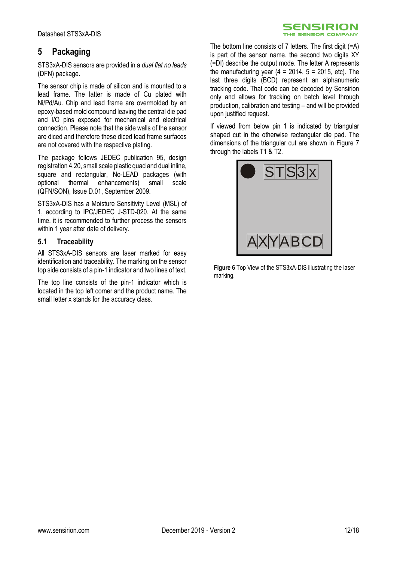# <span id="page-11-0"></span>**5 Packaging**

STS3xA-DIS sensors are provided in a *dual flat no leads* (DFN) package.

The sensor chip is made of silicon and is mounted to a lead frame. The latter is made of Cu plated with Ni/Pd/Au. Chip and lead frame are overmolded by an epoxy-based mold compound leaving the central die pad and I/O pins exposed for mechanical and electrical connection. Please note that the side walls of the sensor are diced and therefore these diced lead frame surfaces are not covered with the respective plating.

The package follows JEDEC publication 95, design registration 4.20, small scale plastic quad and dual inline, square and rectangular. No-LEAD packages (with optional thermal enhancements) small scale (QFN/SON), Issue D.01, September 2009.

STS3xA-DIS has a Moisture Sensitivity Level (MSL) of 1, according to IPC/JEDEC J-STD-020. At the same time, it is recommended to further process the sensors within 1 year after date of delivery.

### **5.1 Traceability**

All STS3xA-DIS sensors are laser marked for easy identification and traceability. The marking on the sensor top side consists of a pin-1 indicator and two lines of text.

The top line consists of the pin-1 indicator which is located in the top left corner and the product name. The small letter x stands for the accuracy class.

The bottom line consists of 7 letters. The first digit (=A) is part of the sensor name. the second two digits XY (=DI) describe the output mode. The letter A represents the manufacturing year  $(4 = 2014, 5 = 2015, etc)$ . The last three digits (BCD) represent an alphanumeric tracking code. That code can be decoded by Sensirion only and allows for tracking on batch level through production, calibration and testing – and will be provided upon justified request.

**SENSIRION** THE SENSOR COMPANY

If viewed from below pin 1 is indicated by triangular shaped cut in the otherwise rectangular die pad. The dimensions of the triangular cut are shown in [Figure 7](#page-12-0) through the labels T1 & T2.



**Figure 6** Top View of the STS3xA-DIS illustrating the laser marking.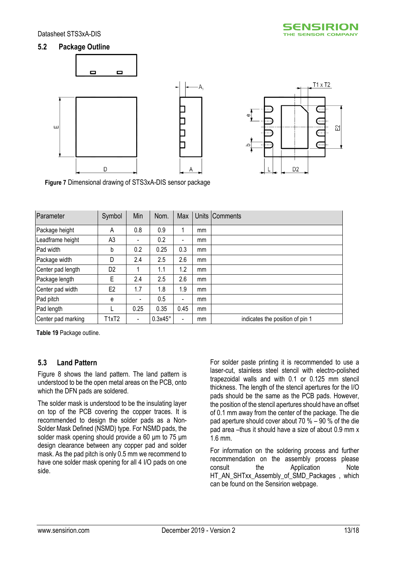Ш



#### **5.2 Package Outline**



D





<span id="page-12-0"></span>**Figure 7** Dimensional drawing of STS3xA-DIS sensor package

| Parameter          | Symbol         | Min            | Nom.    | Max                      |    | Units Comments                  |
|--------------------|----------------|----------------|---------|--------------------------|----|---------------------------------|
| Package height     | A              | 0.8            | 0.9     |                          | mm |                                 |
| Leadframe height   | A3             |                | 0.2     | -                        | mm |                                 |
| Pad width          | b              | 0.2            | 0.25    | 0.3                      | mm |                                 |
| Package width      | D              | 2.4            | 2.5     | 2.6                      | mm |                                 |
| Center pad length  | D <sub>2</sub> |                | 1.1     | 1.2                      | mm |                                 |
| Package length     | Е              | 2.4            | 2.5     | 2.6                      | mm |                                 |
| Center pad width   | E <sub>2</sub> | 1.7            | 1.8     | 1.9                      | mm |                                 |
| Pad pitch          | е              | $\blacksquare$ | 0.5     | $\overline{\phantom{0}}$ | mm |                                 |
| Pad length         |                | 0.25           | 0.35    | 0.45                     | mm |                                 |
| Center pad marking | T1xT2          |                | 0.3x45° | -                        | mm | indicates the position of pin 1 |

**Table 19** Package outline.

#### **5.3 Land Pattern**

[Figure 8](#page-13-1) shows the land pattern. The land pattern is understood to be the open metal areas on the PCB, onto which the DFN pads are soldered.

The solder mask is understood to be the insulating layer on top of the PCB covering the copper traces. It is recommended to design the solder pads as a Non-Solder Mask Defined (NSMD) type. For NSMD pads, the solder mask opening should provide a 60 μm to 75 μm design clearance between any copper pad and solder mask. As the pad pitch is only 0.5 mm we recommend to have one solder mask opening for all 4 I/O pads on one side.

For solder paste printing it is recommended to use a laser-cut, stainless steel stencil with electro-polished trapezoidal walls and with 0.1 or 0.125 mm stencil thickness. The length of the stencil apertures for the I/O pads should be the same as the PCB pads. However, the position of the stencil apertures should have an offset of 0.1 mm away from the center of the package. The die pad aperture should cover about 70  $\%$  – 90  $\%$  of the die pad area –thus it should have a size of about 0.9 mm x 1.6 mm.

For information on the soldering process and further recommendation on the assembly process please consult the Application Note HT\_AN\_SHTxx\_Assembly\_of\_SMD\_Packages , which can be found on the Sensirion webpage.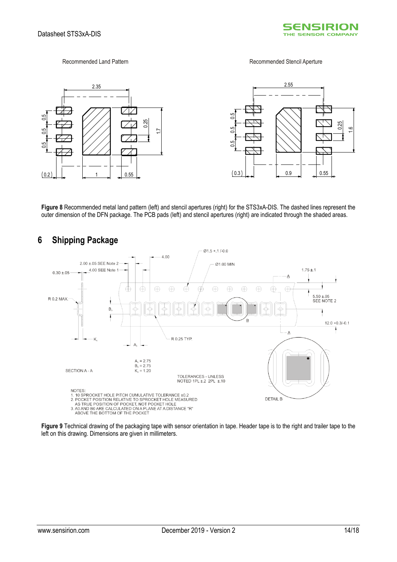

Recommended Land Pattern Recommended Stencil Aperture



<span id="page-13-1"></span>**Figure 8** Recommended metal land pattern (left) and stencil apertures (right) for the STS3xA-DIS. The dashed lines represent the outer dimension of the DFN package. The PCB pads (left) and stencil apertures (right) are indicated through the shaded areas.



# <span id="page-13-0"></span>**6 Shipping Package**

**Figure 9** Technical drawing of the packaging tape with sensor orientation in tape. Header tape is to the right and trailer tape to the left on this drawing. Dimensions are given in millimeters.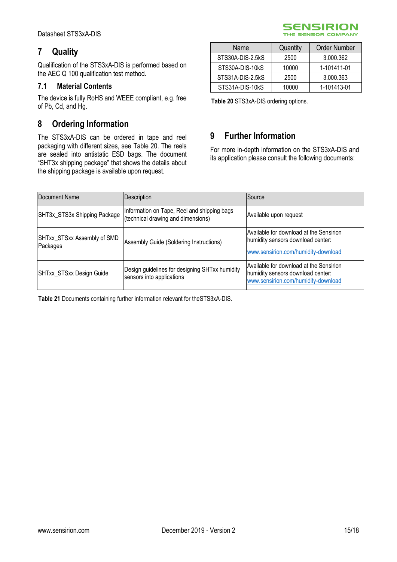# <span id="page-14-0"></span>**7 Quality**

Qualification of the STS3xA-DIS is performed based on the AEC Q 100 qualification test method.

### **7.1 Material Contents**

The device is fully RoHS and WEEE compliant, e.g. free of Pb, Cd, and Hg.

# <span id="page-14-1"></span>**8 Ordering Information**

The STS3xA-DIS can be ordered in tape and reel packaging with different sizes, see [Table 20.](#page-14-3) The reels are sealed into antistatic ESD bags. The document "SHT3x shipping package" that shows the details about the shipping package is available upon request.

| Name             | Quantity | <b>Order Number</b> |
|------------------|----------|---------------------|
| STS30A-DIS-2.5kS | 2500     | 3.000.362           |
| STS30A-DIS-10kS  | 10000    | 1-101411-01         |
| STS31A-DIS-2.5kS | 2500     | 3.000.363           |
| STS31A-DIS-10kS  | 10000    | 1-101413-01         |

**SENSIRION** THE SENSOR COMPANY

<span id="page-14-3"></span>**Table 20** STS3xA-DIS ordering options.

# <span id="page-14-2"></span>**9 Further Information**

For more in-depth information on the STS3xA-DIS and its application please consult the following documents:

| Document Name                           | Description                                                                       | Source                                                                                                              |
|-----------------------------------------|-----------------------------------------------------------------------------------|---------------------------------------------------------------------------------------------------------------------|
| SHT3x_STS3x Shipping Package            | Information on Tape, Reel and shipping bags<br>(technical drawing and dimensions) | Available upon request                                                                                              |
| SHTxx_STSxx Assembly of SMD<br>Packages | Assembly Guide (Soldering Instructions)                                           | Available for download at the Sensirion<br>humidity sensors download center:<br>www.sensirion.com/humidity-download |
| <b>SHTxx STSxx Design Guide</b>         | Design guidelines for designing SHTxx humidity<br>sensors into applications       | Available for download at the Sensirion<br>humidity sensors download center:<br>www.sensirion.com/humidity-download |

**Table 21** Documents containing further information relevant for theSTS3xA-DIS.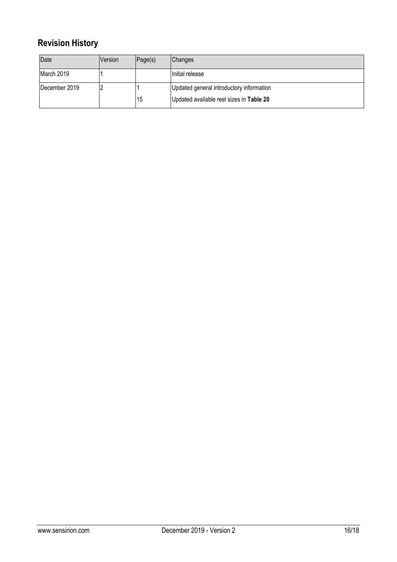# **Revision History**

| Date          | Version | Page(s) | <b>Changes</b>                           |
|---------------|---------|---------|------------------------------------------|
| March 2019    |         |         | Initial release                          |
| December 2019 |         |         | Updated general introductory information |
|               |         | 15      | Updated available reel sizes in Table 20 |